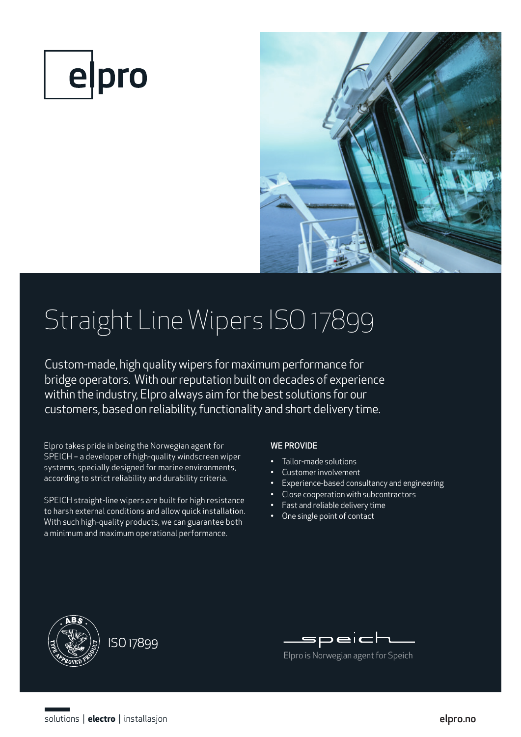



# Straight Line Wipers ISO 17899

Custom-made, high quality wipers for maximum performance for bridge operators. With our reputation built on decades of experience within the industry, Elpro always aim for the best solutions for our customers, based on reliability, functionality and short delivery time.

Elpro takes pride in being the Norwegian agent for SPEICH – a developer of high-quality windscreen wiper systems, specially designed for marine environments, according to strict reliability and durability criteria.

SPEICH straight-line wipers are built for high resistance to harsh external conditions and allow quick installation. With such high-quality products, we can guarantee both a minimum and maximum operational performance.

## WE PROVIDE

- Tailor-made solutions
- Customer involvement
- Experience-based consultancy and engineering
- Close cooperation with subcontractors
- Fast and reliable delivery time
- One single point of contact





Elpro is Norwegian agent for Speich